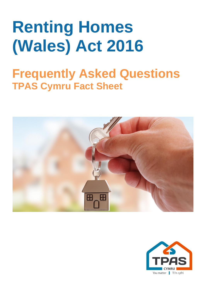# **Renting Homes (Wales) Act 2016**

## **Frequently Asked Questions TPAS Cymru Fact Sheet**



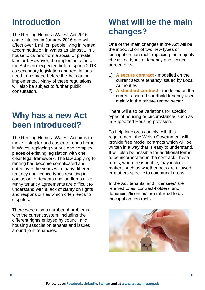### **Introduction**

The Renting Homes (Wales) Act 2016 came into law in January 2016 and will affect over 1 million people living in rented accommodation in Wales as almost 1 in 3 households rent from a social or private landlord. However, the implementation of the Act is not expected before spring 2018 as secondary legislation and regulations need to be made before the Act can be implemented. Many of these regulations will also be subject to further public consultation.

#### **Why has a new Act been introduced?**

The [Renting Homes \(Wales\) Act](http://www.legislation.gov.uk/anaw/2016/1/contents/enacted) aims to make it simpler and easier to rent a home in Wales, replacing various and complex pieces of existing legislation with one clear legal framework. The law applying to renting had become complicated and dated over the years with many different tenancy and licence types resulting in confusion for tenants and landlords alike. Many tenancy agreements are difficult to understand with a lack of clarity on rights and responsibilities which often leads to disputes.

There were also a number of problems with the current system, including the different rights enjoyed by council and housing association tenants and issues around joint tenancies.

### **What will be the main changes?**

One of the main changes in the Act will be the introduction of two new types of 'occupation contract', replacing the majority of existing types of tenancy and licence agreements.

- 1) **A secure contract** modelled on the current secure tenancy issued by Local **Authorities**
- 2) **A standard contract** modelled on the current assured shorthold tenancy used mainly in the private rented sector.

There will also be variations for specific types of housing or circumstances such as in Supported Housing provision*.*

To help landlords comply with this requirement, the Welsh Government will provide free model contracts which will be written in a way that is easy to understand. It will also be possible for additional terms to be incorporated in the contract. These terms, where reasonable, may include matters such as whether pets are allowed or matters specific to communal areas.

In the Act 'tenants' and 'licensees' are referred to as 'contract-holders' and 'tenancies/licences' are referred to as 'occupation contracts'.

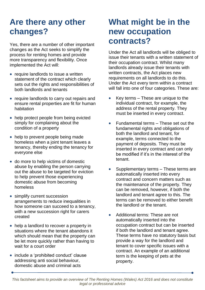### **Are there any other changes?**

Yes, there are a number of other important changes as the Act seeks to simplify the process for renting homes and provide more transparency and flexibility. Once implemented the Act will:

- require landlords to issue a written statement of the contract which clearly sets out the rights and responsibilities of both landlords and tenants
- require landlords to carry out repairs and ensure rental properties are fit for human habitation
- help protect people from being evicted simply for complaining about the condition of a property
- help to prevent people being made homeless when a joint tenant leaves a tenancy, thereby ending the tenancy for everyone else
- do more to help victims of domestic abuse by enabling the person carrying out the abuse to be targeted for eviction to help prevent those experiencing domestic abuse from becoming homeless
- simplify current succession arrangements to reduce inequalities in how someone can succeed to a tenancy, with a new succession right for carers created
- help a landlord to recover a property in situations where the tenant abandons it which should mean that the property can be let more quickly rather than having to wait for a court order
- include a 'prohibited conduct' clause addressing anti social behaviour, domestic abuse and criminal acts

### **What might be in the new occupation contracts?**

Under the Act all landlords will be obliged to issue their tenants with a written statement of their occupation contract. Whilst many landlords already issue their tenants with written contracts, the Act places new requirements on all landlords to do this. Under the Act every term within a contract will fall into one of four categories. These are:

- Key terms These are unique to the individual contract, for example, the address of the rental property. They must be inserted in every contract.
- Fundamental terms These set out the fundamental rights and obligations of both the landlord and tenant, for example, terms connected to the payment of deposits. They must be inserted in every contract and can only be modified if it's in the interest of the tenant.
- Supplementary terms These terms are automatically inserted into every contract and concern matters such as the maintenance of the property. They can be removed, however, if both the landlord and tenant agree to this. The terms can be removed to either benefit the landlord or the tenant.
- Additional terms: These are not automatically inserted into the occupation contract but can be inserted if both the landlord and tenant agree. These terms have no statutory basis but provide a way for the landlord and tenant to cover specific issues with a contract. An example of an additional term is the keeping of pets at the property.

*This factsheet aims to provide an overview of The Renting Homes (Wales) Act 2016 and does not constitute legal or professional advice*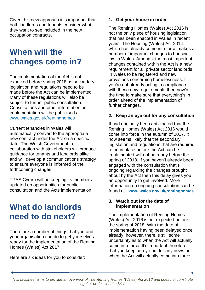Given this new approach it is important that both landlords and tenants consider what they want to see included in the new occupation contracts.

### **When will the changes come in?**

The implementation of the Act is not expected before spring 2018 as secondary legislation and regulations need to be made before the Act can be implemented. Many of these regulations will also be subject to further public consultation. Consultations and other information on implementation will be publicised at: [www.wales.gov.uk/rentinghomes](http://www.wales.gov.uk/rentinghomes)

Current tenancies in Wales will automatically convert to the appropriate new contract under the Act on a specific date. The Welsh Government in collaboration with stakeholders will produce guidance for tenants and landlords alike and will develop a communications strategy to ensure everyone is informed of the forthcoming changes.

TPAS Cymru will be keeping its members updated on opportunities for public consultation and the Acts implementation.

### **What do landlords need to do next?**

There are a number of things that you and your organisation can do to get yourselves ready for the implementation of the Renting Homes (Wales) Act 2017.

Here are six ideas for you to consider:

#### **1. Get your house in order**

The Renting Homes (Wales) Act 2016 is not the only piece of housing legislation that has been enacted in Wales in recent years. The Housing (Wales) Act 2014 which has already come into force makes a number of important changes to housing law in Wales. Amongst the most important changes contained within the Act is a new requirement for all private sector landlords in Wales to be registered and new provisions concerning homelessness. If you're not already acting in compliance with these new requirements then now's the time to make sure that everything's in order ahead of the implementation of further changes.

#### **2. Keep an eye out for any consultation**

It had originally been anticipated that the Renting Homes (Wales) Act 2016 would come into force in the autumn of 2017. It now seems likely that the secondary legislation and regulations that are required to be in place before the Act can be implemented will not be ready before the spring of 2018. If you haven't already been engaged with the consultation that's ongoing regarding the changes brought about by the Act then this delay gives you an opportunity to get involved. More information on ongoing consultation can be found at - **[www.wales.gov.uk/rentinghomes](http://www.wales.gov.uk/rentinghomes)**

#### **3. Watch out for the date of implementation**

The implementation of Renting Homes (Wales) Act 2016 is not expected before the spring of 2018. With the date of implementation having been delayed once already, however, there is still some uncertainty as to when the Act will actually come into force. It's important therefore that you keep an eye out for any news on when the Act will actually come into force.